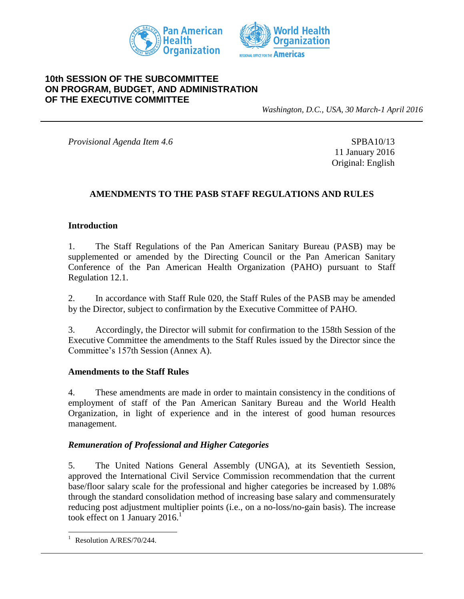



## **10th SESSION OF THE SUBCOMMITTEE ON PROGRAM, BUDGET, AND ADMINISTRATION OF THE EXECUTIVE COMMITTEE**

*Washington, D.C., USA, 30 March-1 April 2016*

*Provisional Agenda Item 4.6* SPBA10/13

11 January 2016 Original: English

## **AMENDMENTS TO THE PASB STAFF REGULATIONS AND RULES**

#### **Introduction**

1. The Staff Regulations of the Pan American Sanitary Bureau (PASB) may be supplemented or amended by the Directing Council or the Pan American Sanitary Conference of the Pan American Health Organization (PAHO) pursuant to Staff Regulation 12.1.

2. In accordance with Staff Rule 020, the Staff Rules of the PASB may be amended by the Director, subject to confirmation by the Executive Committee of PAHO.

3. Accordingly, the Director will submit for confirmation to the 158th Session of the Executive Committee the amendments to the Staff Rules issued by the Director since the Committee's 157th Session (Annex A).

#### **Amendments to the Staff Rules**

4. These amendments are made in order to maintain consistency in the conditions of employment of staff of the Pan American Sanitary Bureau and the World Health Organization, in light of experience and in the interest of good human resources management.

#### *Remuneration of Professional and Higher Categories*

5. The United Nations General Assembly (UNGA), at its Seventieth Session, approved the International Civil Service Commission recommendation that the current base/floor salary scale for the professional and higher categories be increased by 1.08% through the standard consolidation method of increasing base salary and commensurately reducing post adjustment multiplier points (i.e., on a no-loss/no-gain basis). The increase took effect on 1 January 2016. 1

l

Resolution A/RES/70/244.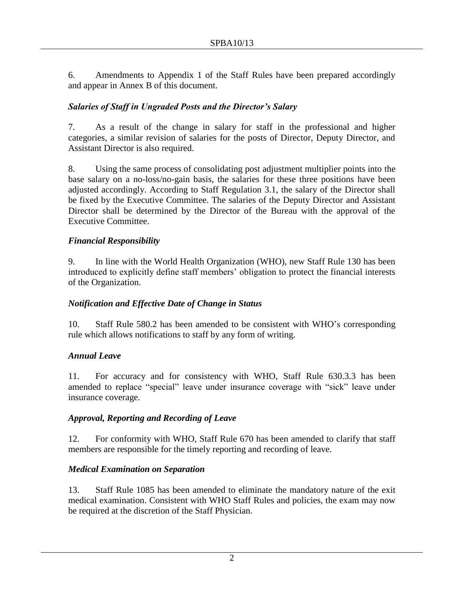6. Amendments to Appendix 1 of the Staff Rules have been prepared accordingly and appear in Annex B of this document.

# *Salaries of Staff in Ungraded Posts and the Director's Salary*

7. As a result of the change in salary for staff in the professional and higher categories, a similar revision of salaries for the posts of Director, Deputy Director, and Assistant Director is also required.

8. Using the same process of consolidating post adjustment multiplier points into the base salary on a no-loss/no-gain basis, the salaries for these three positions have been adjusted accordingly. According to Staff Regulation 3.1, the salary of the Director shall be fixed by the Executive Committee. The salaries of the Deputy Director and Assistant Director shall be determined by the Director of the Bureau with the approval of the Executive Committee.

## *Financial Responsibility*

9. In line with the World Health Organization (WHO), new Staff Rule 130 has been introduced to explicitly define staff members' obligation to protect the financial interests of the Organization.

# *Notification and Effective Date of Change in Status*

10. Staff Rule 580.2 has been amended to be consistent with WHO's corresponding rule which allows notifications to staff by any form of writing.

## *Annual Leave*

11. For accuracy and for consistency with WHO, Staff Rule 630.3.3 has been amended to replace "special" leave under insurance coverage with "sick" leave under insurance coverage.

## *Approval, Reporting and Recording of Leave*

12. For conformity with WHO, Staff Rule 670 has been amended to clarify that staff members are responsible for the timely reporting and recording of leave.

# *Medical Examination on Separation*

13. Staff Rule 1085 has been amended to eliminate the mandatory nature of the exit medical examination. Consistent with WHO Staff Rules and policies, the exam may now be required at the discretion of the Staff Physician.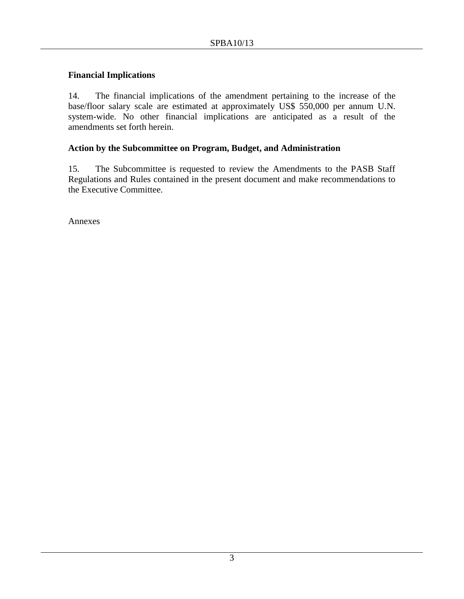## **Financial Implications**

14. The financial implications of the amendment pertaining to the increase of the base/floor salary scale are estimated at approximately US\$ 550,000 per annum U.N. system-wide. No other financial implications are anticipated as a result of the amendments set forth herein.

## **Action by the Subcommittee on Program, Budget, and Administration**

15. The Subcommittee is requested to review the Amendments to the PASB Staff Regulations and Rules contained in the present document and make recommendations to the Executive Committee.

Annexes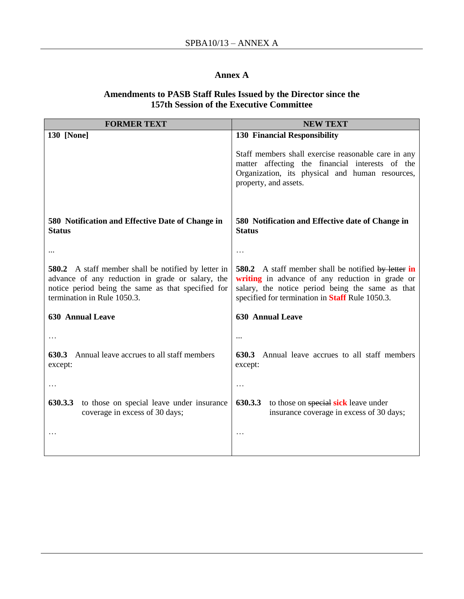## **Annex A**

#### **Amendments to PASB Staff Rules Issued by the Director since the 157th Session of the Executive Committee**

| <b>FORMER TEXT</b>                                                                                                                                                                                  | <b>NEW TEXT</b>                                                                                                                                                                                                      |  |  |  |  |  |  |  |
|-----------------------------------------------------------------------------------------------------------------------------------------------------------------------------------------------------|----------------------------------------------------------------------------------------------------------------------------------------------------------------------------------------------------------------------|--|--|--|--|--|--|--|
| <b>130 [None]</b>                                                                                                                                                                                   | <b>130 Financial Responsibility</b>                                                                                                                                                                                  |  |  |  |  |  |  |  |
|                                                                                                                                                                                                     | Staff members shall exercise reasonable care in any<br>matter affecting the financial interests of the<br>Organization, its physical and human resources,<br>property, and assets.                                   |  |  |  |  |  |  |  |
|                                                                                                                                                                                                     |                                                                                                                                                                                                                      |  |  |  |  |  |  |  |
| 580 Notification and Effective Date of Change in<br><b>Status</b>                                                                                                                                   | 580 Notification and Effective date of Change in<br><b>Status</b>                                                                                                                                                    |  |  |  |  |  |  |  |
|                                                                                                                                                                                                     | .                                                                                                                                                                                                                    |  |  |  |  |  |  |  |
| <b>580.2</b> A staff member shall be notified by letter in<br>advance of any reduction in grade or salary, the<br>notice period being the same as that specified for<br>termination in Rule 1050.3. | <b>580.2</b> A staff member shall be notified by letter in<br>writing in advance of any reduction in grade or<br>salary, the notice period being the same as that<br>specified for termination in Staff Rule 1050.3. |  |  |  |  |  |  |  |
| <b>630 Annual Leave</b>                                                                                                                                                                             | <b>630 Annual Leave</b>                                                                                                                                                                                              |  |  |  |  |  |  |  |
|                                                                                                                                                                                                     |                                                                                                                                                                                                                      |  |  |  |  |  |  |  |
| <b>630.3</b> Annual leave accrues to all staff members<br>except:                                                                                                                                   | Annual leave accrues to all staff members<br>630.3<br>except:                                                                                                                                                        |  |  |  |  |  |  |  |
|                                                                                                                                                                                                     | .                                                                                                                                                                                                                    |  |  |  |  |  |  |  |
| 630.3.3<br>to those on special leave under insurance<br>coverage in excess of 30 days;                                                                                                              | 630.3.3<br>to those on special sick leave under<br>insurance coverage in excess of 30 days;                                                                                                                          |  |  |  |  |  |  |  |
|                                                                                                                                                                                                     | .                                                                                                                                                                                                                    |  |  |  |  |  |  |  |
|                                                                                                                                                                                                     |                                                                                                                                                                                                                      |  |  |  |  |  |  |  |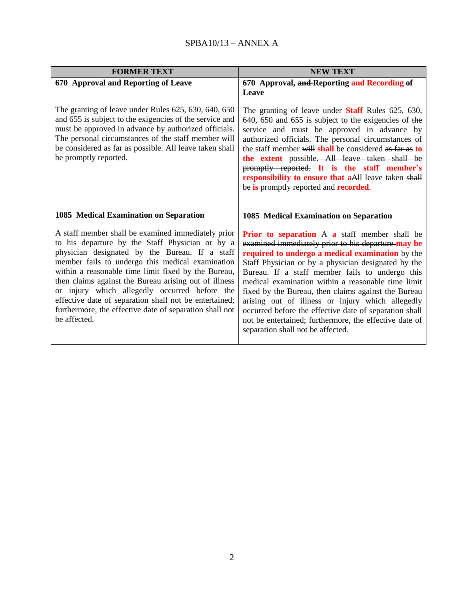| <b>FORMER TEXT</b>                                                                                                                                                                                                                                                                                                                                                                                                                                                                                                | <b>NEW TEXT</b>                                                                                                                                                                                                                                                                                                                                                                                                                                                                                                                                                                                    |  |  |  |  |  |
|-------------------------------------------------------------------------------------------------------------------------------------------------------------------------------------------------------------------------------------------------------------------------------------------------------------------------------------------------------------------------------------------------------------------------------------------------------------------------------------------------------------------|----------------------------------------------------------------------------------------------------------------------------------------------------------------------------------------------------------------------------------------------------------------------------------------------------------------------------------------------------------------------------------------------------------------------------------------------------------------------------------------------------------------------------------------------------------------------------------------------------|--|--|--|--|--|
| 670 Approval and Reporting of Leave                                                                                                                                                                                                                                                                                                                                                                                                                                                                               | 670 Approval, and Reporting and Recording of<br>Leave                                                                                                                                                                                                                                                                                                                                                                                                                                                                                                                                              |  |  |  |  |  |
| The granting of leave under Rules 625, 630, 640, 650<br>and 655 is subject to the exigencies of the service and<br>must be approved in advance by authorized officials.<br>The personal circumstances of the staff member will<br>be considered as far as possible. All leave taken shall<br>be promptly reported.                                                                                                                                                                                                | The granting of leave under <b>Staff</b> Rules 625, 630,<br>640, 650 and 655 is subject to the exigencies of the<br>service and must be approved in advance by<br>authorized officials. The personal circumstances of<br>the staff member will shall be considered as far as to<br>the extent possible. All leave taken shall be<br>promptly reported. It is the staff member's<br>responsibility to ensure that aAll leave taken shall<br>be is promptly reported and <b>recorded</b> .                                                                                                           |  |  |  |  |  |
| <b>1085 Medical Examination on Separation</b>                                                                                                                                                                                                                                                                                                                                                                                                                                                                     | 1085 Medical Examination on Separation                                                                                                                                                                                                                                                                                                                                                                                                                                                                                                                                                             |  |  |  |  |  |
| A staff member shall be examined immediately prior<br>to his departure by the Staff Physician or by a<br>physician designated by the Bureau. If a staff<br>member fails to undergo this medical examination<br>within a reasonable time limit fixed by the Bureau,<br>then claims against the Bureau arising out of illness<br>or injury which allegedly occurred before the<br>effective date of separation shall not be entertained;<br>furthermore, the effective date of separation shall not<br>be affected. | <b>Prior to separation A a</b> staff member shall be<br>examined immediately prior to his departure may be<br>required to undergo a medical examination by the<br>Staff Physician or by a physician designated by the<br>Bureau. If a staff member fails to undergo this<br>medical examination within a reasonable time limit<br>fixed by the Bureau, then claims against the Bureau<br>arising out of illness or injury which allegedly<br>occurred before the effective date of separation shall<br>not be entertained; furthermore, the effective date of<br>separation shall not be affected. |  |  |  |  |  |